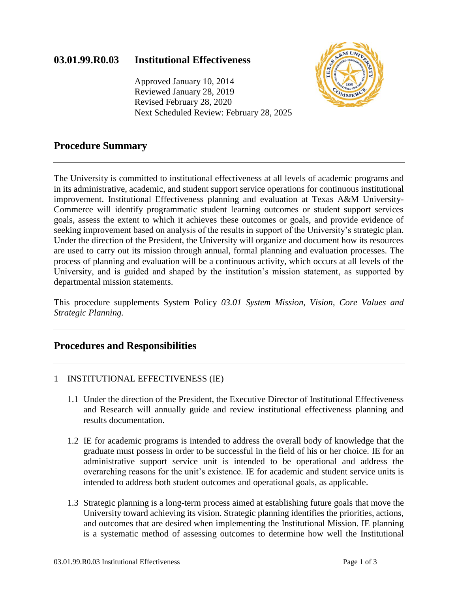# **03.01.99.R0.03 Institutional Effectiveness**

Approved January 10, 2014 Reviewed January 28, 2019 Revised February 28, 2020 Next Scheduled Review: February 28, 2025



# **Procedure Summary**

The University is committed to institutional effectiveness at all levels of academic programs and in its administrative, academic, and student support service operations for continuous institutional improvement. Institutional Effectiveness planning and evaluation at Texas A&M University-Commerce will identify programmatic student learning outcomes or student support services goals, assess the extent to which it achieves these outcomes or goals, and provide evidence of seeking improvement based on analysis of the results in support of the University's strategic plan. Under the direction of the President, the University will organize and document how its resources are used to carry out its mission through annual, formal planning and evaluation processes. The process of planning and evaluation will be a continuous activity, which occurs at all levels of the University, and is guided and shaped by the institution's mission statement, as supported by departmental mission statements.

This procedure supplements System Policy *03.01 System Mission, Vision, Core Values and Strategic Planning.* 

## **Procedures and Responsibilities**

### 1 INSTITUTIONAL EFFECTIVENESS (IE)

- 1.1 Under the direction of the President, the Executive Director of Institutional Effectiveness and Research will annually guide and review institutional effectiveness planning and results documentation.
- 1.2 IE for academic programs is intended to address the overall body of knowledge that the graduate must possess in order to be successful in the field of his or her choice. IE for an administrative support service unit is intended to be operational and address the overarching reasons for the unit's existence. IE for academic and student service units is intended to address both student outcomes and operational goals, as applicable.
- 1.3 Strategic planning is a long-term process aimed at establishing future goals that move the University toward achieving its vision. Strategic planning identifies the priorities, actions, and outcomes that are desired when implementing the Institutional Mission. IE planning is a systematic method of assessing outcomes to determine how well the Institutional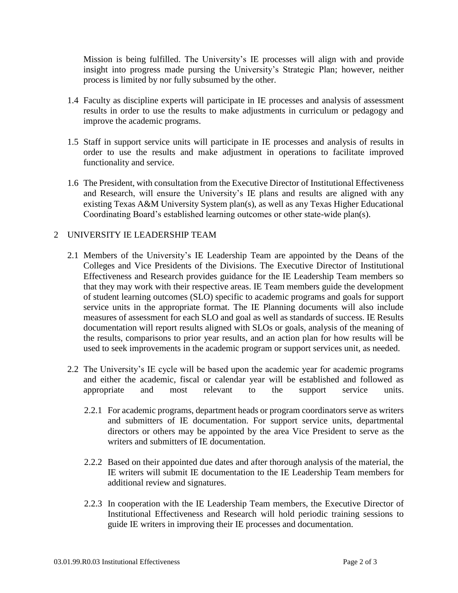Mission is being fulfilled. The University's IE processes will align with and provide insight into progress made pursing the University's Strategic Plan; however, neither process is limited by nor fully subsumed by the other.

- 1.4 Faculty as discipline experts will participate in IE processes and analysis of assessment results in order to use the results to make adjustments in curriculum or pedagogy and improve the academic programs.
- 1.5 Staff in support service units will participate in IE processes and analysis of results in order to use the results and make adjustment in operations to facilitate improved functionality and service.
- 1.6 The President, with consultation from the Executive Director of Institutional Effectiveness and Research, will ensure the University's IE plans and results are aligned with any existing Texas A&M University System plan(s), as well as any Texas Higher Educational Coordinating Board's established learning outcomes or other state-wide plan(s).

### 2 UNIVERSITY IE LEADERSHIP TEAM

- 2.1 Members of the University's IE Leadership Team are appointed by the Deans of the Colleges and Vice Presidents of the Divisions. The Executive Director of Institutional Effectiveness and Research provides guidance for the IE Leadership Team members so that they may work with their respective areas. IE Team members guide the development of student learning outcomes (SLO) specific to academic programs and goals for support service units in the appropriate format. The IE Planning documents will also include measures of assessment for each SLO and goal as well as standards of success. IE Results documentation will report results aligned with SLOs or goals, analysis of the meaning of the results, comparisons to prior year results, and an action plan for how results will be used to seek improvements in the academic program or support services unit, as needed.
- 2.2 The University's IE cycle will be based upon the academic year for academic programs and either the academic, fiscal or calendar year will be established and followed as appropriate and most relevant to the support service units.
	- 2.2.1 For academic programs, department heads or program coordinators serve as writers and submitters of IE documentation. For support service units, departmental directors or others may be appointed by the area Vice President to serve as the writers and submitters of IE documentation.
	- 2.2.2 Based on their appointed due dates and after thorough analysis of the material, the IE writers will submit IE documentation to the IE Leadership Team members for additional review and signatures.
	- 2.2.3 In cooperation with the IE Leadership Team members, the Executive Director of Institutional Effectiveness and Research will hold periodic training sessions to guide IE writers in improving their IE processes and documentation.